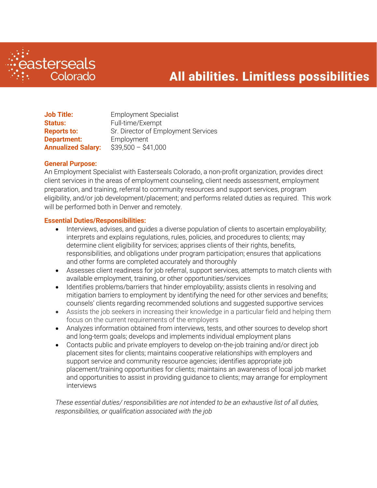

# All abilities. Limitless possibilities

| <b>Job Title:</b>         | <b>Employment Specialist</b>        |
|---------------------------|-------------------------------------|
| <b>Status:</b>            | Full-time/Exempt                    |
| <b>Reports to:</b>        | Sr. Director of Employment Services |
| <b>Department:</b>        | Employment                          |
| <b>Annualized Salary:</b> | $$39,500 - $41,000$                 |

### **General Purpose:**

An Employment Specialist with Easterseals Colorado, a non-profit organization, provides direct client services in the areas of employment counseling, client needs assessment, employment preparation, and training, referral to community resources and support services, program eligibility, and/or job development/placement; and performs related duties as required. This work will be performed both in Denver and remotely.

### **Essential Duties/Responsibilities:**

- Interviews, advises, and guides a diverse population of clients to ascertain employability; interprets and explains regulations, rules, policies, and procedures to clients; may determine client eligibility for services; apprises clients of their rights, benefits, responsibilities, and obligations under program participation; ensures that applications and other forms are completed accurately and thoroughly
- Assesses client readiness for job referral, support services, attempts to match clients with available employment, training, or other opportunities/services
- Identifies problems/barriers that hinder employability; assists clients in resolving and mitigation barriers to employment by identifying the need for other services and benefits; counsels' clients regarding recommended solutions and suggested supportive services
- Assists the job seekers in increasing their knowledge in a particular field and helping them focus on the current requirements of the employers
- Analyzes information obtained from interviews, tests, and other sources to develop short and long-term goals; develops and implements individual employment plans
- Contacts public and private employers to develop on-the-job training and/or direct job placement sites for clients; maintains cooperative relationships with employers and support service and community resource agencies; identifies appropriate job placement/training opportunities for clients; maintains an awareness of local job market and opportunities to assist in providing guidance to clients; may arrange for employment interviews

*These essential duties/ responsibilities are not intended to be an exhaustive list of all duties, responsibilities, or qualification associated with the job*